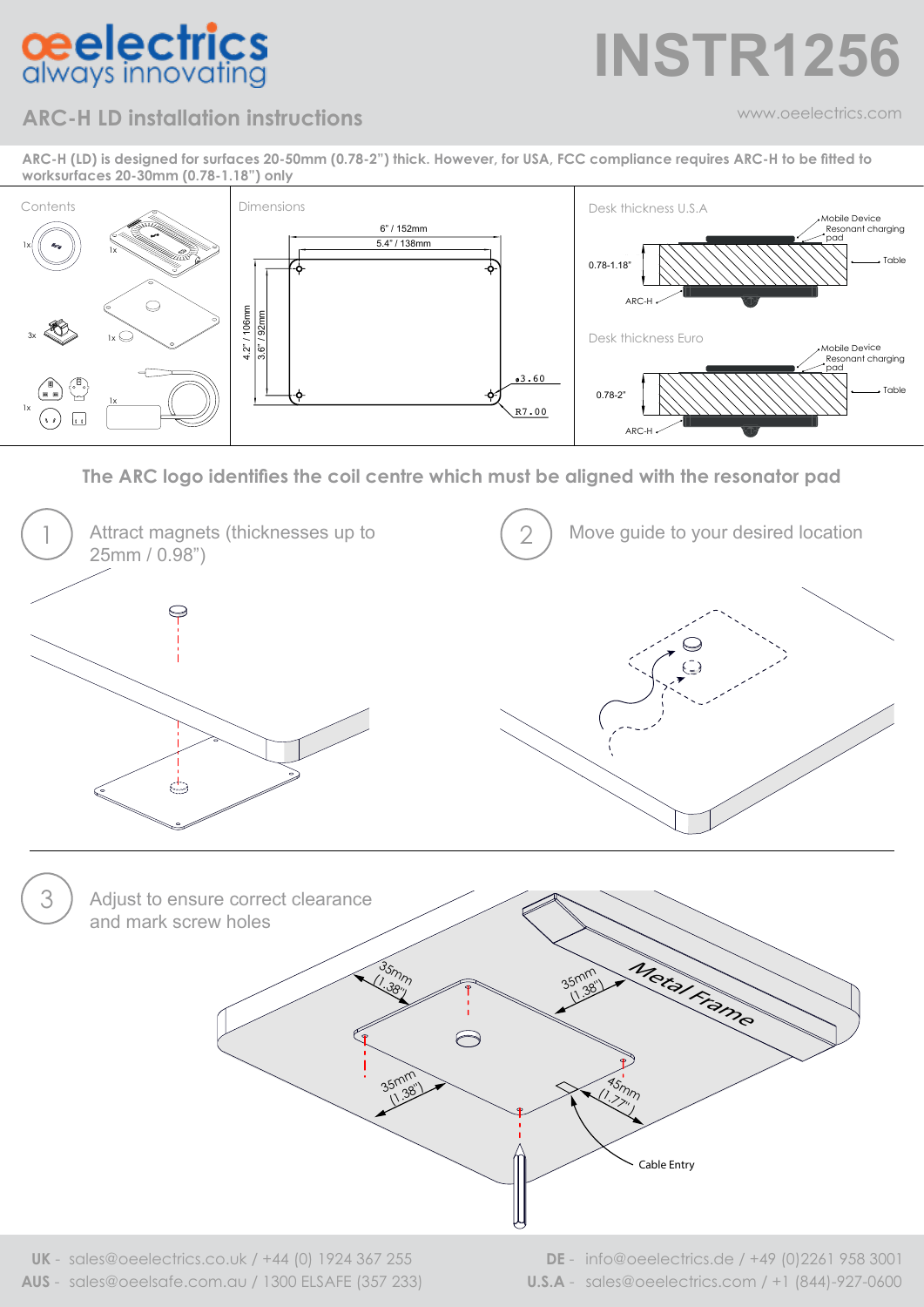## **ceelectrics**<br>always innovating

### **INSTR1256**

### **ARC-H LD installation instructions**

www.oeelectrics.com

**ARC-H (LD) is designed for surfaces 20-50mm (0.78-2") thick. However, for USA, FCC compliance requires ARC-H to be fitted to worksurfaces 20-30mm (0.78-1.18") only**



**The ARC logo identifies the coil centre which must be aligned with the resonator pad**



**AUS** - sales@oeelsafe.com.au / 1300 ELSAFE (357 233) **U.S.A** - sales@oeelectrics.com / +1 (844)-927-0600 **UK** - sales@oeelectrics.co.uk / +44 (0) 1924 367 255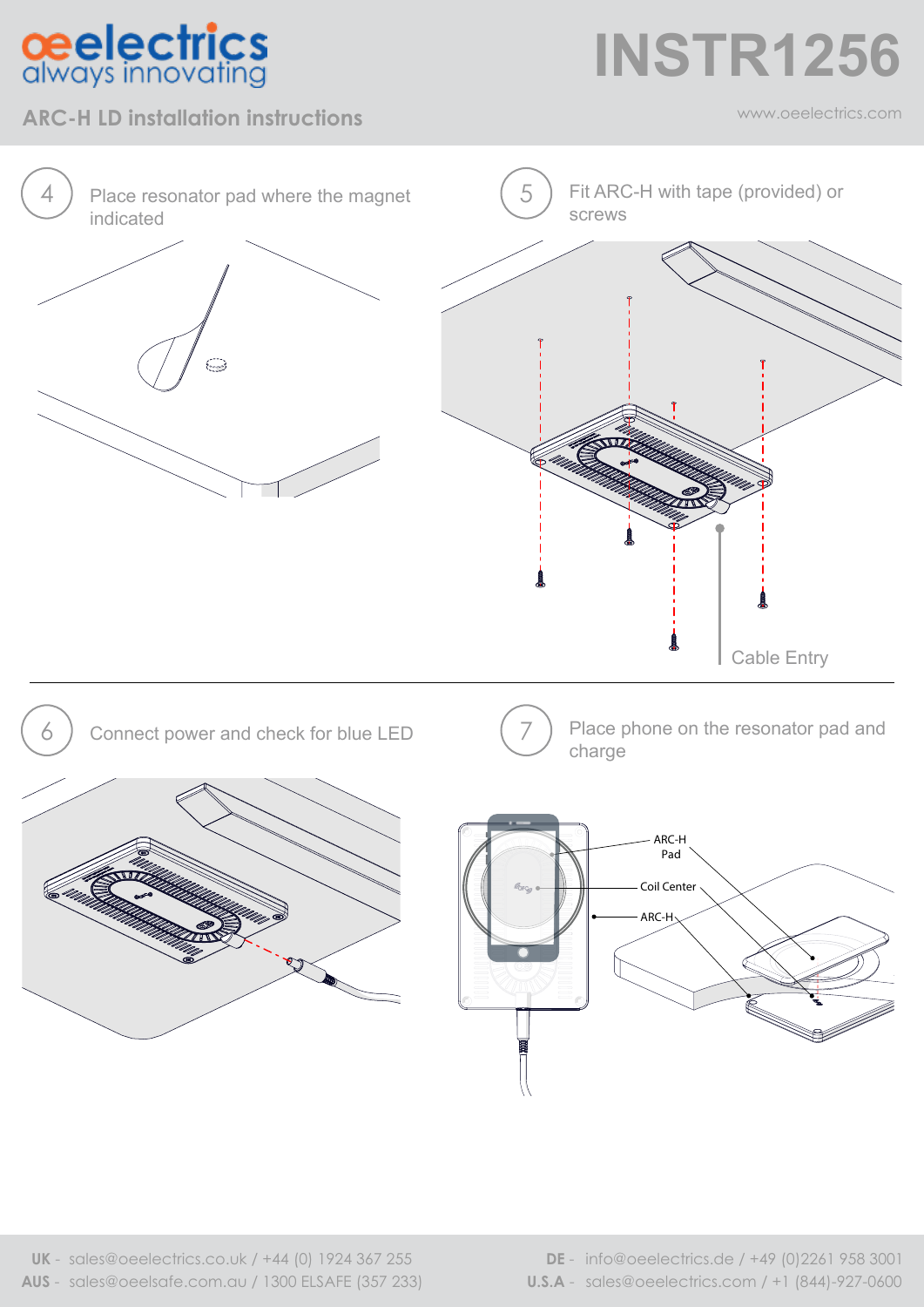### **ceelectrics**<br>always innovating

#### **ARC-H LD installation instructions** and the community of the community of the community of the community of the community of the community of the community of the community of the community of the community of the communi

**INSTR1256**